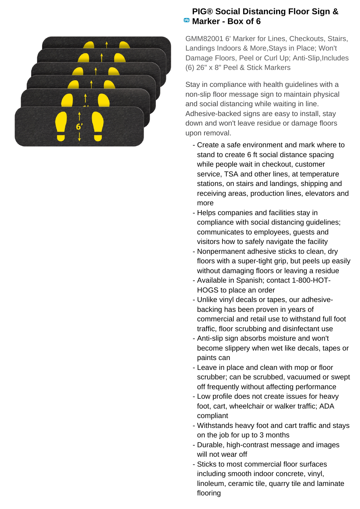

## **PIG® Social Distancing Floor Sign & Marker - Box of 6**

GMM82001 6' Marker for Lines, Checkouts, Stairs, Landings Indoors & More,Stays in Place; Won't Damage Floors, Peel or Curl Up; Anti-Slip, Includes (6) 26" x 8" Peel & Stick Markers

Stay in compliance with health guidelines with a non-slip floor message sign to maintain physical and social distancing while waiting in line. Adhesive-backed signs are easy to install, stay down and won't leave residue or damage floors upon removal.

- Create a safe environment and mark where to stand to create 6 ft social distance spacing while people wait in checkout, customer service, TSA and other lines, at temperature stations, on stairs and landings, shipping and receiving areas, production lines, elevators and more
- Helps companies and facilities stay in compliance with social distancing guidelines; communicates to employees, guests and visitors how to safely navigate the facility
- Nonpermanent adhesive sticks to clean, dry floors with a super-tight grip, but peels up easily without damaging floors or leaving a residue
- Available in Spanish; contact 1-800-HOT-HOGS to place an order
- Unlike vinyl decals or tapes, our adhesive- backing has been proven in years of commercial and retail use to withstand full foot traffic, floor scrubbing and disinfectant use
- Anti-slip sign absorbs moisture and won't become slippery when wet like decals, tapes or paints can
- Leave in place and clean with mop or floor scrubber; can be scrubbed, vacuumed or swept off frequently without affecting performance
- Low profile does not create issues for heavy foot, cart, wheelchair or walker traffic; ADA compliant
- Withstands heavy foot and cart traffic and stays on the job for up to 3 months
- Durable, high-contrast message and images will not wear off
- Sticks to most commercial floor surfaces including smooth indoor concrete, vinyl, linoleum, ceramic tile, quarry tile and laminate flooring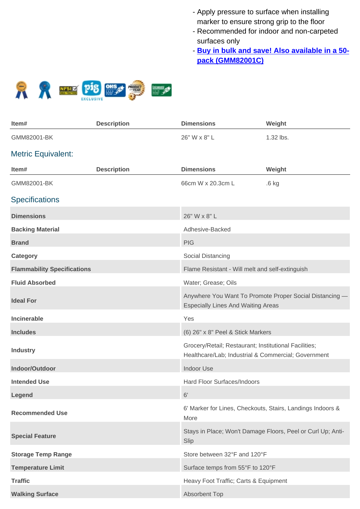- Apply pressure to surface when installing marker to ensure strong grip to the floor
- Recommended for indoor and non-carpeted surfaces only
- **Buy in bulk and save! Also available in a 50pack (GMM82001C)**



| Item#                              | <b>Description</b> | <b>Dimensions</b>                                                                                            | Weight                                                      |
|------------------------------------|--------------------|--------------------------------------------------------------------------------------------------------------|-------------------------------------------------------------|
| GMM82001-BK                        |                    | 26" W x 8" L                                                                                                 | 1.32 lbs.                                                   |
| <b>Metric Equivalent:</b>          |                    |                                                                                                              |                                                             |
| Item#                              | <b>Description</b> | <b>Dimensions</b>                                                                                            | Weight                                                      |
| GMM82001-BK                        |                    | 66cm W x 20.3cm L                                                                                            | $.6$ kg                                                     |
| <b>Specifications</b>              |                    |                                                                                                              |                                                             |
| <b>Dimensions</b>                  |                    | 26" W x 8" L                                                                                                 |                                                             |
| <b>Backing Material</b>            |                    | Adhesive-Backed                                                                                              |                                                             |
| <b>Brand</b>                       |                    | <b>PIG</b>                                                                                                   |                                                             |
| <b>Category</b>                    |                    | Social Distancing                                                                                            |                                                             |
| <b>Flammability Specifications</b> |                    | Flame Resistant - Will melt and self-extinguish                                                              |                                                             |
| <b>Fluid Absorbed</b>              |                    | Water; Grease; Oils                                                                                          |                                                             |
| <b>Ideal For</b>                   |                    | <b>Especially Lines And Waiting Areas</b>                                                                    | Anywhere You Want To Promote Proper Social Distancing -     |
| <b>Incinerable</b>                 |                    | Yes                                                                                                          |                                                             |
| <b>Includes</b>                    |                    | (6) 26" x 8" Peel & Stick Markers                                                                            |                                                             |
| <b>Industry</b>                    |                    | Grocery/Retail; Restaurant; Institutional Facilities;<br>Healthcare/Lab; Industrial & Commercial; Government |                                                             |
| Indoor/Outdoor                     |                    | <b>Indoor Use</b>                                                                                            |                                                             |
| <b>Intended Use</b>                |                    | Hard Floor Surfaces/Indoors                                                                                  |                                                             |
| Legend                             |                    | 6'                                                                                                           |                                                             |
| <b>Recommended Use</b>             |                    | 6' Marker for Lines, Checkouts, Stairs, Landings Indoors &<br>More                                           |                                                             |
| <b>Special Feature</b>             |                    | Slip                                                                                                         | Stays in Place; Won't Damage Floors, Peel or Curl Up; Anti- |
| <b>Storage Temp Range</b>          |                    | Store between 32°F and 120°F                                                                                 |                                                             |
| <b>Temperature Limit</b>           |                    | Surface temps from 55°F to 120°F                                                                             |                                                             |
| <b>Traffic</b>                     |                    | Heavy Foot Traffic; Carts & Equipment                                                                        |                                                             |
| <b>Walking Surface</b>             |                    | Absorbent Top                                                                                                |                                                             |